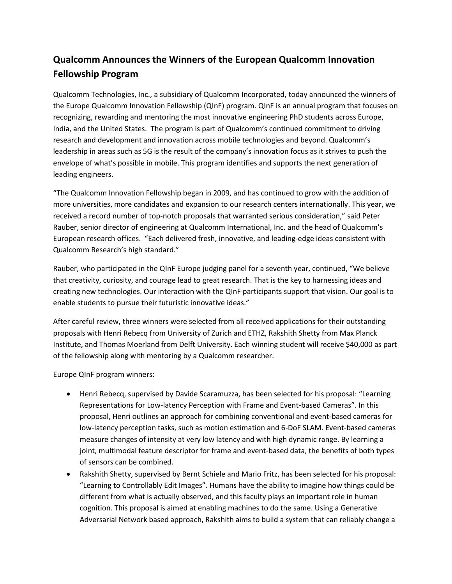## **Qualcomm Announces the Winners of the European Qualcomm Innovation Fellowship Program**

Qualcomm Technologies, Inc., a subsidiary of Qualcomm Incorporated, today announced the winners of the Europe Qualcomm Innovation Fellowship (QInF) program. QInF is an annual program that focuses on recognizing, rewarding and mentoring the most innovative engineering PhD students across Europe, India, and the United States. The program is part of Qualcomm's continued commitment to driving research and development and innovation across mobile technologies and beyond. Qualcomm's leadership in areas such as 5G is the result of the company's innovation focus as it strives to push the envelope of what's possible in mobile. This program identifies and supports the next generation of leading engineers.

"The Qualcomm Innovation Fellowship began in 2009, and has continued to grow with the addition of more universities, more candidates and expansion to our research centers internationally. This year, we received a record number of top-notch proposals that warranted serious consideration," said Peter Rauber, senior director of engineering at Qualcomm International, Inc. and the head of Qualcomm's European research offices. "Each delivered fresh, innovative, and leading-edge ideas consistent with Qualcomm Research's high standard."

Rauber, who participated in the QInF Europe judging panel for a seventh year, continued, "We believe that creativity, curiosity, and courage lead to great research. That is the key to harnessing ideas and creating new technologies. Our interaction with the QInF participants support that vision. Our goal is to enable students to pursue their futuristic innovative ideas."

After careful review, three winners were selected from all received applications for their outstanding proposals with Henri Rebecq from University of Zurich and ETHZ, Rakshith Shetty from Max Planck Institute, and Thomas Moerland from Delft University. Each winning student will receive \$40,000 as part of the fellowship along with mentoring by a Qualcomm researcher.

Europe QInF program winners:

- Henri Rebecq, supervised by Davide Scaramuzza, has been selected for his proposal: "Learning Representations for Low-latency Perception with Frame and Event-based Cameras". In this proposal, Henri outlines an approach for combining conventional and event-based cameras for low-latency perception tasks, such as motion estimation and 6-DoF SLAM. Event-based cameras measure changes of intensity at very low latency and with high dynamic range. By learning a joint, multimodal feature descriptor for frame and event-based data, the benefits of both types of sensors can be combined.
- Rakshith Shetty, supervised by Bernt Schiele and Mario Fritz, has been selected for his proposal: "Learning to Controllably Edit Images". Humans have the ability to imagine how things could be different from what is actually observed, and this faculty plays an important role in human cognition. This proposal is aimed at enabling machines to do the same. Using a Generative Adversarial Network based approach, Rakshith aims to build a system that can reliably change a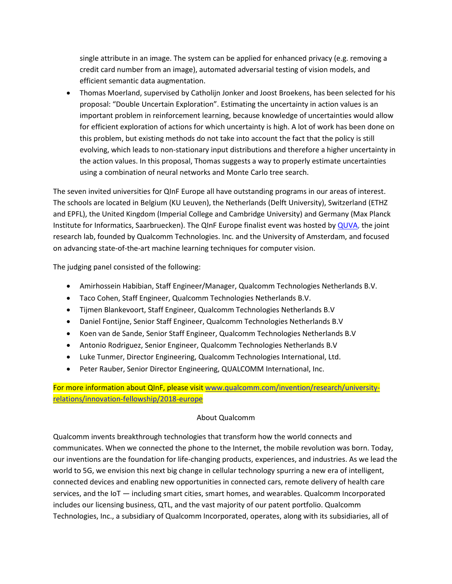single attribute in an image. The system can be applied for enhanced privacy (e.g. removing a credit card number from an image), automated adversarial testing of vision models, and efficient semantic data augmentation.

• Thomas Moerland, supervised by Catholijn Jonker and Joost Broekens, has been selected for his proposal: "Double Uncertain Exploration". Estimating the uncertainty in action values is an important problem in reinforcement learning, because knowledge of uncertainties would allow for efficient exploration of actions for which uncertainty is high. A lot of work has been done on this problem, but existing methods do not take into account the fact that the policy is still evolving, which leads to non-stationary input distributions and therefore a higher uncertainty in the action values. In this proposal, Thomas suggests a way to properly estimate uncertainties using a combination of neural networks and Monte Carlo tree search.

The seven invited universities for QInF Europe all have outstanding programs in our areas of interest. The schools are located in Belgium (KU Leuven), the Netherlands (Delft University), Switzerland (ETHZ and EPFL), the United Kingdom (Imperial College and Cambridge University) and Germany (Max Planck Institute for Informatics, Saarbruecken). The QInF Europe finalist event was hosted by [QUVA,](https://www.qualcomm.com/news/onq/2015/08/25/engaging-worlds-leading-researchers-advance-machine-learning-mobile-and-embedded) the joint research lab, founded by Qualcomm Technologies. Inc. and the University of Amsterdam, and focused on advancing state-of-the-art machine learning techniques for computer vision.

The judging panel consisted of the following:

- Amirhossein Habibian, Staff Engineer/Manager, Qualcomm Technologies Netherlands B.V.
- Taco Cohen, Staff Engineer, Qualcomm Technologies Netherlands B.V.
- Tijmen Blankevoort, Staff Engineer, Qualcomm Technologies Netherlands B.V
- Daniel Fontijne, Senior Staff Engineer, Qualcomm Technologies Netherlands B.V
- Koen van de Sande, Senior Staff Engineer, Qualcomm Technologies Netherlands B.V
- Antonio Rodriguez, Senior Engineer, Qualcomm Technologies Netherlands B.V
- Luke Tunmer, Director Engineering, Qualcomm Technologies International, Ltd.
- Peter Rauber, Senior Director Engineering, QUALCOMM International, Inc.

For more information about QInF, please visit [www.qualcomm.com/invention/research/university](http://www.qualcomm.com/invention/research/university-relations/innovation-fellowship/2018-europe)[relations/innovation-fellowship/2018-europe](http://www.qualcomm.com/invention/research/university-relations/innovation-fellowship/2018-europe)

## About Qualcomm

Qualcomm invents breakthrough technologies that transform how the world connects and communicates. When we connected the phone to the Internet, the mobile revolution was born. Today, our inventions are the foundation for life-changing products, experiences, and industries. As we lead the world to 5G, we envision this next big change in cellular technology spurring a new era of intelligent, connected devices and enabling new opportunities in connected cars, remote delivery of health care services, and the IoT — including smart cities, smart homes, and wearables. Qualcomm Incorporated includes our licensing business, QTL, and the vast majority of our patent portfolio. Qualcomm Technologies, Inc., a subsidiary of Qualcomm Incorporated, operates, along with its subsidiaries, all of